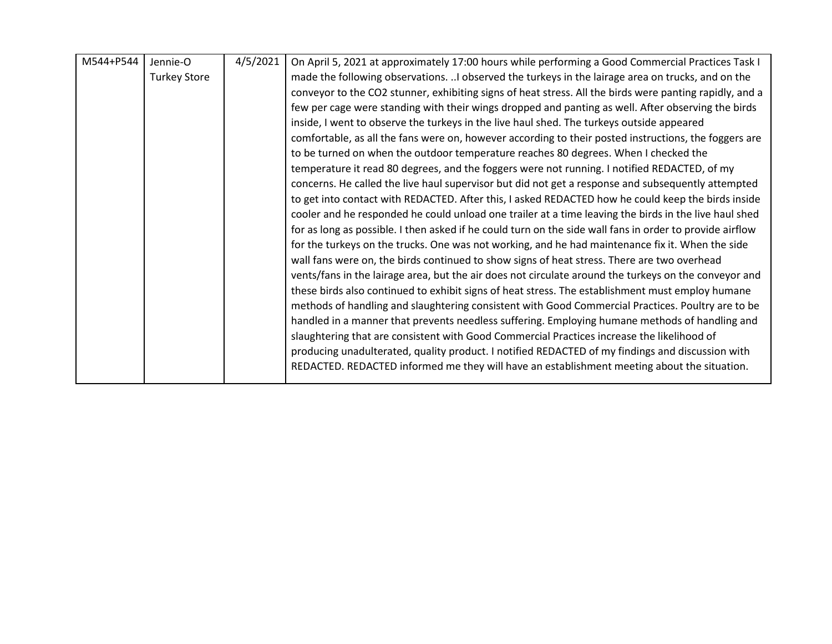| M544+P544 | Jennie-O            | 4/5/2021 | On April 5, 2021 at approximately 17:00 hours while performing a Good Commercial Practices Task I        |
|-----------|---------------------|----------|----------------------------------------------------------------------------------------------------------|
|           | <b>Turkey Store</b> |          | made the following observations.  I observed the turkeys in the lairage area on trucks, and on the       |
|           |                     |          | conveyor to the CO2 stunner, exhibiting signs of heat stress. All the birds were panting rapidly, and a  |
|           |                     |          | few per cage were standing with their wings dropped and panting as well. After observing the birds       |
|           |                     |          | inside, I went to observe the turkeys in the live haul shed. The turkeys outside appeared                |
|           |                     |          | comfortable, as all the fans were on, however according to their posted instructions, the foggers are    |
|           |                     |          | to be turned on when the outdoor temperature reaches 80 degrees. When I checked the                      |
|           |                     |          | temperature it read 80 degrees, and the foggers were not running. I notified REDACTED, of my             |
|           |                     |          | concerns. He called the live haul supervisor but did not get a response and subsequently attempted       |
|           |                     |          | to get into contact with REDACTED. After this, I asked REDACTED how he could keep the birds inside       |
|           |                     |          | cooler and he responded he could unload one trailer at a time leaving the birds in the live haul shed    |
|           |                     |          | for as long as possible. I then asked if he could turn on the side wall fans in order to provide airflow |
|           |                     |          | for the turkeys on the trucks. One was not working, and he had maintenance fix it. When the side         |
|           |                     |          | wall fans were on, the birds continued to show signs of heat stress. There are two overhead              |
|           |                     |          | vents/fans in the lairage area, but the air does not circulate around the turkeys on the conveyor and    |
|           |                     |          | these birds also continued to exhibit signs of heat stress. The establishment must employ humane         |
|           |                     |          | methods of handling and slaughtering consistent with Good Commercial Practices. Poultry are to be        |
|           |                     |          | handled in a manner that prevents needless suffering. Employing humane methods of handling and           |
|           |                     |          | slaughtering that are consistent with Good Commercial Practices increase the likelihood of               |
|           |                     |          | producing unadulterated, quality product. I notified REDACTED of my findings and discussion with         |
|           |                     |          | REDACTED. REDACTED informed me they will have an establishment meeting about the situation.              |
|           |                     |          |                                                                                                          |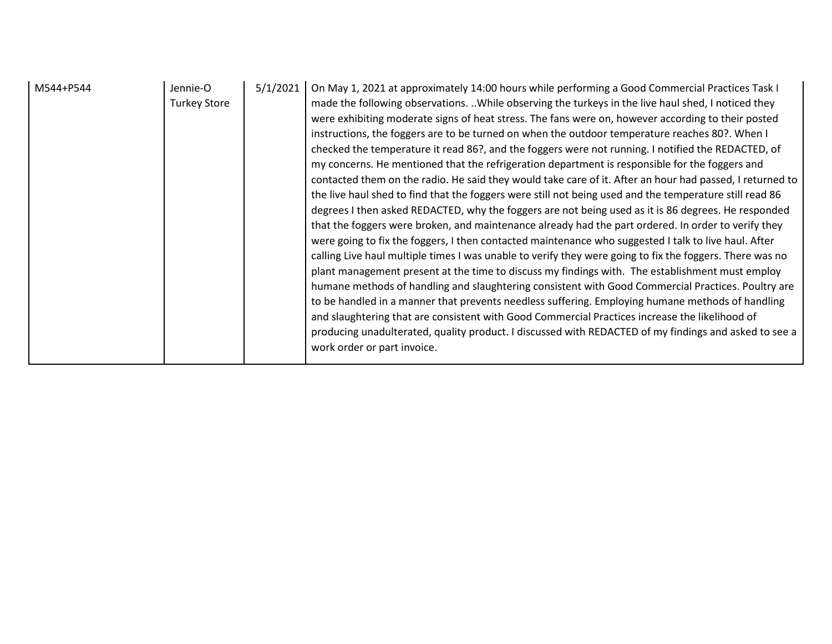| M544+P544 | Jennie-O<br><b>Turkey Store</b> | 5/1/2021 | On May 1, 2021 at approximately 14:00 hours while performing a Good Commercial Practices Task I<br>made the following observations. While observing the turkeys in the live haul shed, I noticed they<br>were exhibiting moderate signs of heat stress. The fans were on, however according to their posted<br>instructions, the foggers are to be turned on when the outdoor temperature reaches 80?. When I<br>checked the temperature it read 86?, and the foggers were not running. I notified the REDACTED, of<br>my concerns. He mentioned that the refrigeration department is responsible for the foggers and<br>contacted them on the radio. He said they would take care of it. After an hour had passed, I returned to<br>the live haul shed to find that the foggers were still not being used and the temperature still read 86<br>degrees I then asked REDACTED, why the foggers are not being used as it is 86 degrees. He responded<br>that the foggers were broken, and maintenance already had the part ordered. In order to verify they<br>were going to fix the foggers, I then contacted maintenance who suggested I talk to live haul. After<br>calling Live haul multiple times I was unable to verify they were going to fix the foggers. There was no<br>plant management present at the time to discuss my findings with. The establishment must employ<br>humane methods of handling and slaughtering consistent with Good Commercial Practices. Poultry are<br>to be handled in a manner that prevents needless suffering. Employing humane methods of handling<br>and slaughtering that are consistent with Good Commercial Practices increase the likelihood of<br>producing unadulterated, quality product. I discussed with REDACTED of my findings and asked to see a<br>work order or part invoice. |
|-----------|---------------------------------|----------|---------------------------------------------------------------------------------------------------------------------------------------------------------------------------------------------------------------------------------------------------------------------------------------------------------------------------------------------------------------------------------------------------------------------------------------------------------------------------------------------------------------------------------------------------------------------------------------------------------------------------------------------------------------------------------------------------------------------------------------------------------------------------------------------------------------------------------------------------------------------------------------------------------------------------------------------------------------------------------------------------------------------------------------------------------------------------------------------------------------------------------------------------------------------------------------------------------------------------------------------------------------------------------------------------------------------------------------------------------------------------------------------------------------------------------------------------------------------------------------------------------------------------------------------------------------------------------------------------------------------------------------------------------------------------------------------------------------------------------------------------------------------------------------------------------------------------------------|
|-----------|---------------------------------|----------|---------------------------------------------------------------------------------------------------------------------------------------------------------------------------------------------------------------------------------------------------------------------------------------------------------------------------------------------------------------------------------------------------------------------------------------------------------------------------------------------------------------------------------------------------------------------------------------------------------------------------------------------------------------------------------------------------------------------------------------------------------------------------------------------------------------------------------------------------------------------------------------------------------------------------------------------------------------------------------------------------------------------------------------------------------------------------------------------------------------------------------------------------------------------------------------------------------------------------------------------------------------------------------------------------------------------------------------------------------------------------------------------------------------------------------------------------------------------------------------------------------------------------------------------------------------------------------------------------------------------------------------------------------------------------------------------------------------------------------------------------------------------------------------------------------------------------------------|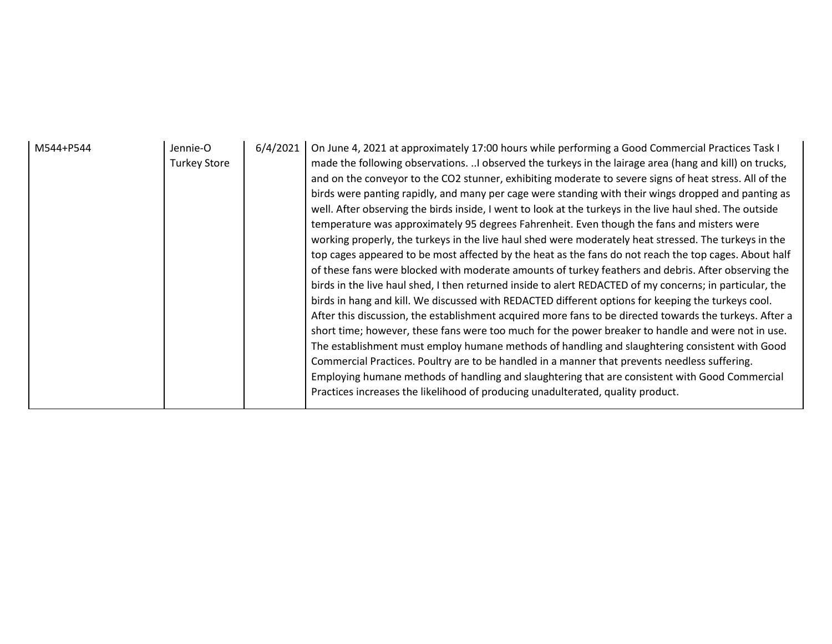| M544+P544 | Jennie-O<br><b>Turkey Store</b> | 6/4/2021 | On June 4, 2021 at approximately 17:00 hours while performing a Good Commercial Practices Task I<br>made the following observations. I observed the turkeys in the lairage area (hang and kill) on trucks,<br>and on the conveyor to the CO2 stunner, exhibiting moderate to severe signs of heat stress. All of the<br>birds were panting rapidly, and many per cage were standing with their wings dropped and panting as<br>well. After observing the birds inside, I went to look at the turkeys in the live haul shed. The outside<br>temperature was approximately 95 degrees Fahrenheit. Even though the fans and misters were<br>working properly, the turkeys in the live haul shed were moderately heat stressed. The turkeys in the<br>top cages appeared to be most affected by the heat as the fans do not reach the top cages. About half<br>of these fans were blocked with moderate amounts of turkey feathers and debris. After observing the<br>birds in the live haul shed, I then returned inside to alert REDACTED of my concerns; in particular, the<br>birds in hang and kill. We discussed with REDACTED different options for keeping the turkeys cool.<br>After this discussion, the establishment acquired more fans to be directed towards the turkeys. After a<br>short time; however, these fans were too much for the power breaker to handle and were not in use.<br>The establishment must employ humane methods of handling and slaughtering consistent with Good<br>Commercial Practices. Poultry are to be handled in a manner that prevents needless suffering.<br>Employing humane methods of handling and slaughtering that are consistent with Good Commercial<br>Practices increases the likelihood of producing unadulterated, quality product. |
|-----------|---------------------------------|----------|-------------------------------------------------------------------------------------------------------------------------------------------------------------------------------------------------------------------------------------------------------------------------------------------------------------------------------------------------------------------------------------------------------------------------------------------------------------------------------------------------------------------------------------------------------------------------------------------------------------------------------------------------------------------------------------------------------------------------------------------------------------------------------------------------------------------------------------------------------------------------------------------------------------------------------------------------------------------------------------------------------------------------------------------------------------------------------------------------------------------------------------------------------------------------------------------------------------------------------------------------------------------------------------------------------------------------------------------------------------------------------------------------------------------------------------------------------------------------------------------------------------------------------------------------------------------------------------------------------------------------------------------------------------------------------------------------------------------------------------------------------------------------------------------|
|-----------|---------------------------------|----------|-------------------------------------------------------------------------------------------------------------------------------------------------------------------------------------------------------------------------------------------------------------------------------------------------------------------------------------------------------------------------------------------------------------------------------------------------------------------------------------------------------------------------------------------------------------------------------------------------------------------------------------------------------------------------------------------------------------------------------------------------------------------------------------------------------------------------------------------------------------------------------------------------------------------------------------------------------------------------------------------------------------------------------------------------------------------------------------------------------------------------------------------------------------------------------------------------------------------------------------------------------------------------------------------------------------------------------------------------------------------------------------------------------------------------------------------------------------------------------------------------------------------------------------------------------------------------------------------------------------------------------------------------------------------------------------------------------------------------------------------------------------------------------------------|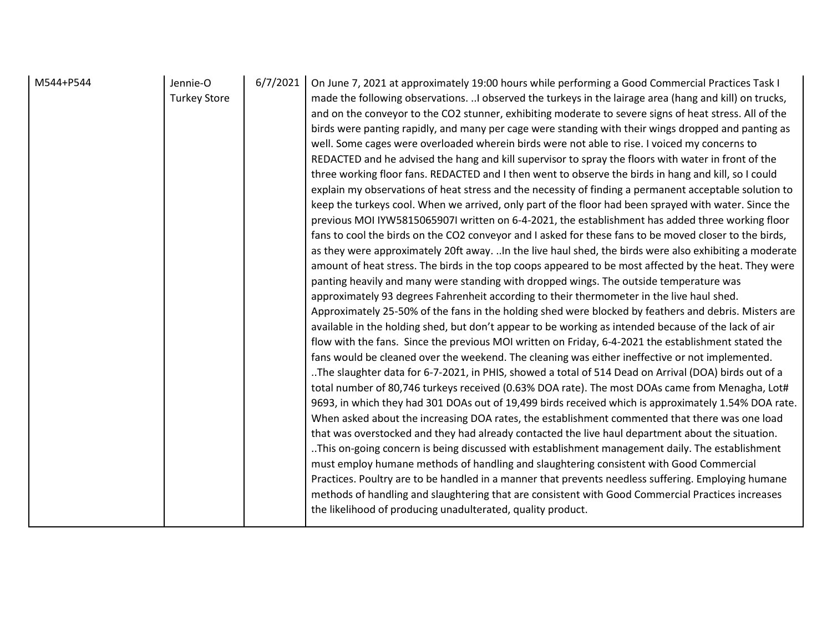| M544+P544 | Jennie-O<br><b>Turkey Store</b> | 6/7/2021 | On June 7, 2021 at approximately 19:00 hours while performing a Good Commercial Practices Task I<br>made the following observations. I observed the turkeys in the lairage area (hang and kill) on trucks,<br>and on the conveyor to the CO2 stunner, exhibiting moderate to severe signs of heat stress. All of the<br>birds were panting rapidly, and many per cage were standing with their wings dropped and panting as<br>well. Some cages were overloaded wherein birds were not able to rise. I voiced my concerns to<br>REDACTED and he advised the hang and kill supervisor to spray the floors with water in front of the<br>three working floor fans. REDACTED and I then went to observe the birds in hang and kill, so I could<br>explain my observations of heat stress and the necessity of finding a permanent acceptable solution to<br>keep the turkeys cool. When we arrived, only part of the floor had been sprayed with water. Since the<br>previous MOI IYW5815065907I written on 6-4-2021, the establishment has added three working floor<br>fans to cool the birds on the CO2 conveyor and I asked for these fans to be moved closer to the birds,<br>as they were approximately 20ft away.  In the live haul shed, the birds were also exhibiting a moderate<br>amount of heat stress. The birds in the top coops appeared to be most affected by the heat. They were<br>panting heavily and many were standing with dropped wings. The outside temperature was<br>approximately 93 degrees Fahrenheit according to their thermometer in the live haul shed.<br>Approximately 25-50% of the fans in the holding shed were blocked by feathers and debris. Misters are<br>available in the holding shed, but don't appear to be working as intended because of the lack of air<br>flow with the fans. Since the previous MOI written on Friday, 6-4-2021 the establishment stated the<br>fans would be cleaned over the weekend. The cleaning was either ineffective or not implemented.<br>The slaughter data for 6-7-2021, in PHIS, showed a total of 514 Dead on Arrival (DOA) birds out of a<br>total number of 80,746 turkeys received (0.63% DOA rate). The most DOAs came from Menagha, Lot#<br>9693, in which they had 301 DOAs out of 19,499 birds received which is approximately 1.54% DOA rate.<br>When asked about the increasing DOA rates, the establishment commented that there was one load<br>that was overstocked and they had already contacted the live haul department about the situation.<br>This on-going concern is being discussed with establishment management daily. The establishment<br>must employ humane methods of handling and slaughtering consistent with Good Commercial<br>Practices. Poultry are to be handled in a manner that prevents needless suffering. Employing humane<br>methods of handling and slaughtering that are consistent with Good Commercial Practices increases<br>the likelihood of producing unadulterated, quality product. |
|-----------|---------------------------------|----------|-----------------------------------------------------------------------------------------------------------------------------------------------------------------------------------------------------------------------------------------------------------------------------------------------------------------------------------------------------------------------------------------------------------------------------------------------------------------------------------------------------------------------------------------------------------------------------------------------------------------------------------------------------------------------------------------------------------------------------------------------------------------------------------------------------------------------------------------------------------------------------------------------------------------------------------------------------------------------------------------------------------------------------------------------------------------------------------------------------------------------------------------------------------------------------------------------------------------------------------------------------------------------------------------------------------------------------------------------------------------------------------------------------------------------------------------------------------------------------------------------------------------------------------------------------------------------------------------------------------------------------------------------------------------------------------------------------------------------------------------------------------------------------------------------------------------------------------------------------------------------------------------------------------------------------------------------------------------------------------------------------------------------------------------------------------------------------------------------------------------------------------------------------------------------------------------------------------------------------------------------------------------------------------------------------------------------------------------------------------------------------------------------------------------------------------------------------------------------------------------------------------------------------------------------------------------------------------------------------------------------------------------------------------------------------------------------------------------------------------------------------------------------------------------------------------------------------------------------------------------------------------------------------------------------------------------------------------------------------------------------------------------------|
|-----------|---------------------------------|----------|-----------------------------------------------------------------------------------------------------------------------------------------------------------------------------------------------------------------------------------------------------------------------------------------------------------------------------------------------------------------------------------------------------------------------------------------------------------------------------------------------------------------------------------------------------------------------------------------------------------------------------------------------------------------------------------------------------------------------------------------------------------------------------------------------------------------------------------------------------------------------------------------------------------------------------------------------------------------------------------------------------------------------------------------------------------------------------------------------------------------------------------------------------------------------------------------------------------------------------------------------------------------------------------------------------------------------------------------------------------------------------------------------------------------------------------------------------------------------------------------------------------------------------------------------------------------------------------------------------------------------------------------------------------------------------------------------------------------------------------------------------------------------------------------------------------------------------------------------------------------------------------------------------------------------------------------------------------------------------------------------------------------------------------------------------------------------------------------------------------------------------------------------------------------------------------------------------------------------------------------------------------------------------------------------------------------------------------------------------------------------------------------------------------------------------------------------------------------------------------------------------------------------------------------------------------------------------------------------------------------------------------------------------------------------------------------------------------------------------------------------------------------------------------------------------------------------------------------------------------------------------------------------------------------------------------------------------------------------------------------------------------------------|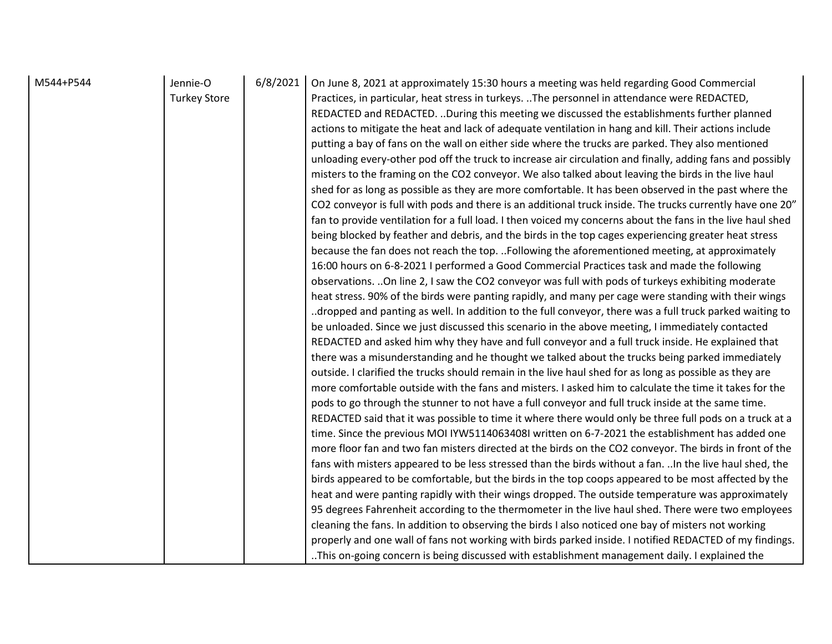| M544+P544<br>Jennie-O<br>6/8/2021<br><b>Turkey Store</b> | On June 8, 2021 at approximately 15:30 hours a meeting was held regarding Good Commercial<br>Practices, in particular, heat stress in turkeys. The personnel in attendance were REDACTED,<br>REDACTED and REDACTED. During this meeting we discussed the establishments further planned<br>actions to mitigate the heat and lack of adequate ventilation in hang and kill. Their actions include<br>putting a bay of fans on the wall on either side where the trucks are parked. They also mentioned<br>unloading every-other pod off the truck to increase air circulation and finally, adding fans and possibly<br>misters to the framing on the CO2 conveyor. We also talked about leaving the birds in the live haul<br>shed for as long as possible as they are more comfortable. It has been observed in the past where the<br>CO2 conveyor is full with pods and there is an additional truck inside. The trucks currently have one 20"<br>fan to provide ventilation for a full load. I then voiced my concerns about the fans in the live haul shed<br>being blocked by feather and debris, and the birds in the top cages experiencing greater heat stress<br>because the fan does not reach the top. Following the aforementioned meeting, at approximately<br>16:00 hours on 6-8-2021 I performed a Good Commercial Practices task and made the following<br>observations.  On line 2, I saw the CO2 conveyor was full with pods of turkeys exhibiting moderate<br>heat stress. 90% of the birds were panting rapidly, and many per cage were standing with their wings<br>dropped and panting as well. In addition to the full conveyor, there was a full truck parked waiting to.<br>be unloaded. Since we just discussed this scenario in the above meeting, I immediately contacted<br>REDACTED and asked him why they have and full conveyor and a full truck inside. He explained that<br>there was a misunderstanding and he thought we talked about the trucks being parked immediately<br>outside. I clarified the trucks should remain in the live haul shed for as long as possible as they are<br>more comfortable outside with the fans and misters. I asked him to calculate the time it takes for the<br>pods to go through the stunner to not have a full conveyor and full truck inside at the same time.<br>REDACTED said that it was possible to time it where there would only be three full pods on a truck at a<br>time. Since the previous MOI IYW5114063408I written on 6-7-2021 the establishment has added one<br>more floor fan and two fan misters directed at the birds on the CO2 conveyor. The birds in front of the<br>fans with misters appeared to be less stressed than the birds without a fan.  In the live haul shed, the<br>birds appeared to be comfortable, but the birds in the top coops appeared to be most affected by the<br>heat and were panting rapidly with their wings dropped. The outside temperature was approximately<br>95 degrees Fahrenheit according to the thermometer in the live haul shed. There were two employees<br>cleaning the fans. In addition to observing the birds I also noticed one bay of misters not working<br>properly and one wall of fans not working with birds parked inside. I notified REDACTED of my findings. |
|----------------------------------------------------------|-------------------------------------------------------------------------------------------------------------------------------------------------------------------------------------------------------------------------------------------------------------------------------------------------------------------------------------------------------------------------------------------------------------------------------------------------------------------------------------------------------------------------------------------------------------------------------------------------------------------------------------------------------------------------------------------------------------------------------------------------------------------------------------------------------------------------------------------------------------------------------------------------------------------------------------------------------------------------------------------------------------------------------------------------------------------------------------------------------------------------------------------------------------------------------------------------------------------------------------------------------------------------------------------------------------------------------------------------------------------------------------------------------------------------------------------------------------------------------------------------------------------------------------------------------------------------------------------------------------------------------------------------------------------------------------------------------------------------------------------------------------------------------------------------------------------------------------------------------------------------------------------------------------------------------------------------------------------------------------------------------------------------------------------------------------------------------------------------------------------------------------------------------------------------------------------------------------------------------------------------------------------------------------------------------------------------------------------------------------------------------------------------------------------------------------------------------------------------------------------------------------------------------------------------------------------------------------------------------------------------------------------------------------------------------------------------------------------------------------------------------------------------------------------------------------------------------------------------------------------------------------------------------------------------------------------------------------------------------------------------------------------------------------------------------------------------------------------------------------------------------------------------------------------------------------------------------------------------------------------------------------------------------------------------------------------|
|----------------------------------------------------------|-------------------------------------------------------------------------------------------------------------------------------------------------------------------------------------------------------------------------------------------------------------------------------------------------------------------------------------------------------------------------------------------------------------------------------------------------------------------------------------------------------------------------------------------------------------------------------------------------------------------------------------------------------------------------------------------------------------------------------------------------------------------------------------------------------------------------------------------------------------------------------------------------------------------------------------------------------------------------------------------------------------------------------------------------------------------------------------------------------------------------------------------------------------------------------------------------------------------------------------------------------------------------------------------------------------------------------------------------------------------------------------------------------------------------------------------------------------------------------------------------------------------------------------------------------------------------------------------------------------------------------------------------------------------------------------------------------------------------------------------------------------------------------------------------------------------------------------------------------------------------------------------------------------------------------------------------------------------------------------------------------------------------------------------------------------------------------------------------------------------------------------------------------------------------------------------------------------------------------------------------------------------------------------------------------------------------------------------------------------------------------------------------------------------------------------------------------------------------------------------------------------------------------------------------------------------------------------------------------------------------------------------------------------------------------------------------------------------------------------------------------------------------------------------------------------------------------------------------------------------------------------------------------------------------------------------------------------------------------------------------------------------------------------------------------------------------------------------------------------------------------------------------------------------------------------------------------------------------------------------------------------------------------------------------------------------|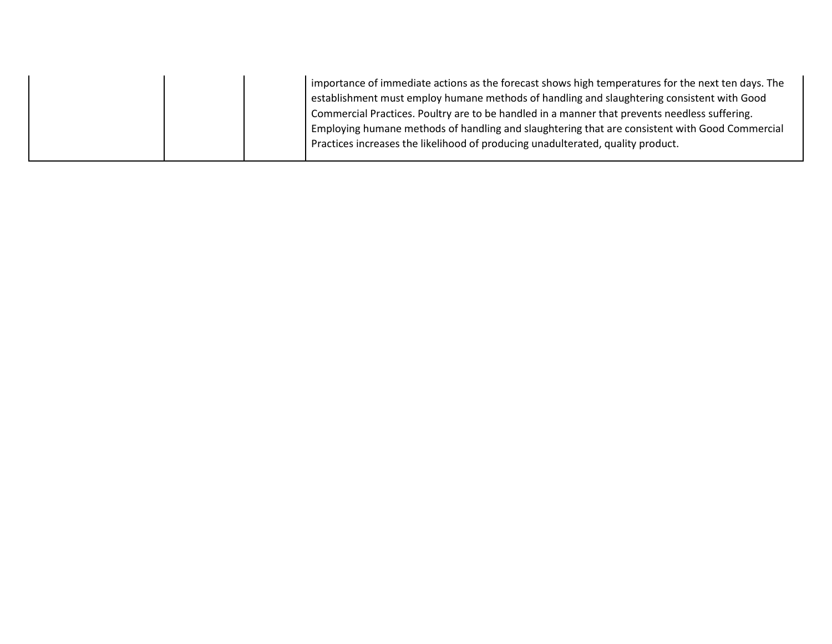|  | importance of immediate actions as the forecast shows high temperatures for the next ten days. The |
|--|----------------------------------------------------------------------------------------------------|
|  | establishment must employ humane methods of handling and slaughtering consistent with Good         |
|  | Commercial Practices. Poultry are to be handled in a manner that prevents needless suffering.      |
|  | Employing humane methods of handling and slaughtering that are consistent with Good Commercial     |
|  | Practices increases the likelihood of producing unadulterated, quality product.                    |
|  |                                                                                                    |